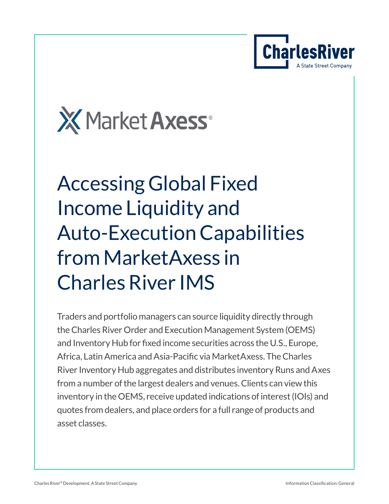



# Accessing Global Fixed Income Liquidity and Auto-Execution Capabilities from MarketAxess in Charles River IMS

Traders and portfolio managers can source liquidity directly through the Charles River Order and Execution Management System (OEMS) and Inventory Hub for fixed income securities across the U.S., Europe, Africa, Latin America and Asia-Pacific via MarketAxess. The Charles River Inventory Hub aggregates and distributes inventory Runs and Axes from a number of the largest dealers and venues. Clients can view this inventory in the OEMS, receive updated indications of interest (IOIs) and quotes from dealers, and place orders for a full range of products and asset classes.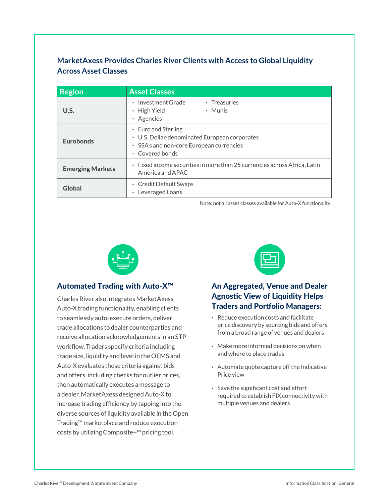#### **MarketAxess Provides Charles River Clients with Access to Global Liquidity Across Asset Classes**

| <b>Region</b>           | <b>Asset Classes</b>                                                                                                                    |
|-------------------------|-----------------------------------------------------------------------------------------------------------------------------------------|
| U.S.                    | • Investment Grade<br>$\cdot$ Treasuries<br>$\cdot$ High Yield<br>• Munis<br>• Agencies                                                 |
| <b>Eurobonds</b>        | $\cdot$ Euro and Sterling<br>• U.S. Dollar-denominated European corporates<br>• SSA's and non-core European currencies<br>Covered bonds |
| <b>Emerging Markets</b> | $\cdot$ Fixed income securities in more than 25 currencies across Africa. Latin<br>America and APAC                                     |
| Global                  | • Credit Default Swaps<br>Leveraged Loans                                                                                               |

Note: not all asset classes available for Auto-X functionality.



#### Automated Trading with Auto-X™

Charles River also integrates MarketAxess' Auto-X trading functionality, enabling clients to seamlessly auto-execute orders, deliver trade allocations to dealer counterparties and receive allocation acknowledgements in an STP workflow. Traders specify criteria including trade size, liquidity and level in the OEMS and Auto-X evaluates these criteria against bids and offers, including checks for outlier prices, then automatically executes a message to a dealer. MarketAxess designed Auto-X to increase trading efficiency by tapping into the diverse sources of liquidity available in the Open Trading™ marketplace and reduce execution costs by utilizing Composite+™ pricing tool.



#### An Aggregated, Venue and Dealer Agnostic View of Liquidity Helps Traders and Portfolio Managers:

- **·** Reduce execution costs and facilitate price discovery by sourcing bids and offers from a broad range of venues and dealers
- **·** Make more informed decisions on when and where to place trades
- **·** Automate quote capture off the Indicative Price view
- **·** Save the significant cost and effort required to establish FIX connectivity with multiple venues and dealers